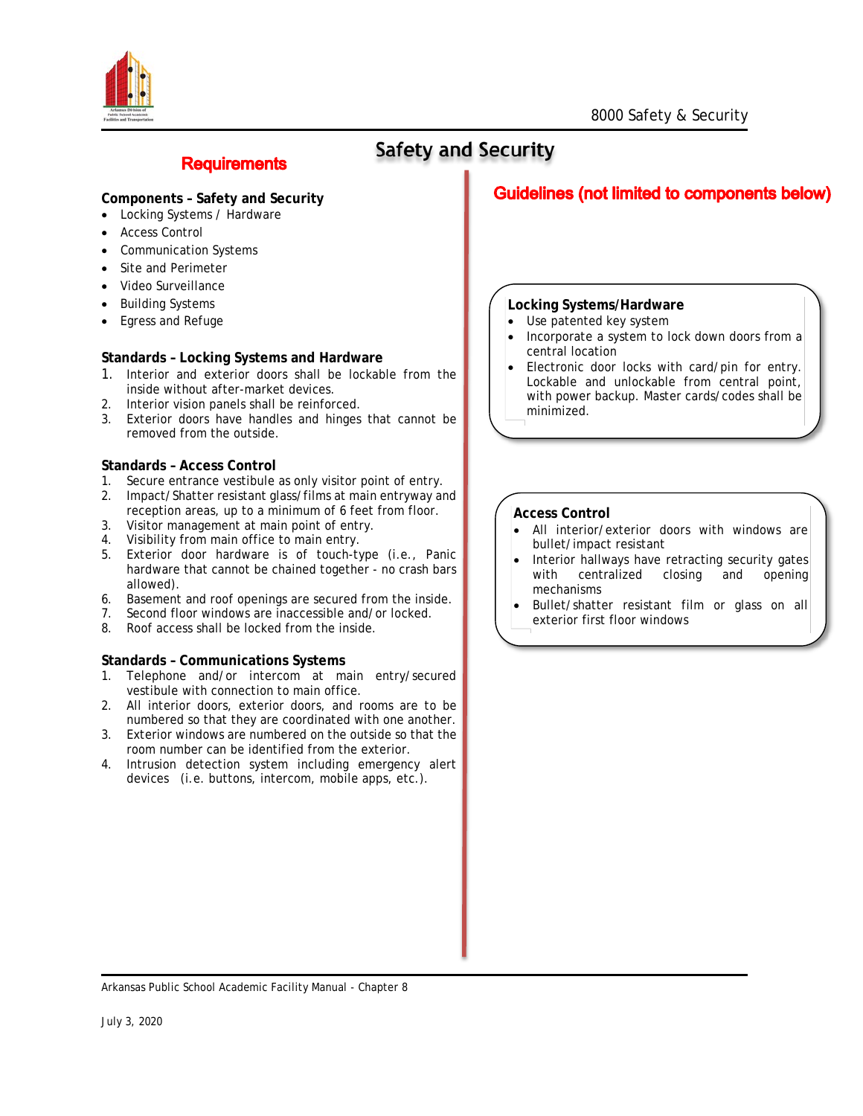



# **Safety and Security**

### **Components – Safety and Security**

**Requirements** 

- Locking Systems / Hardware
- **Access Control**
- Communication Systems
- Site and Perimeter
- Video Surveillance
- **Building Systems**
- Egress and Refuge

#### **Standards – Locking Systems and Hardware**

- 1. Interior and exterior doors shall be lockable from the inside without after-market devices.
- 2. Interior vision panels shall be reinforced.
- 3. Exterior doors have handles and hinges that cannot be removed from the outside.

#### **Standards – Access Control**

- 1. Secure entrance vestibule as only visitor point of entry.
- 2. Impact/Shatter resistant glass/films at main entryway and reception areas, up to a minimum of 6 feet from floor. 3. Visitor management at main point of entry.
- 4. Visibility from main office to main entry.
- 
- 5. Exterior door hardware is of touch-type (i.e., Panic hardware that cannot be chained together - no crash bars allowed).
- 6. Basement and roof openings are secured from the inside.
- 7. Second floor windows are inaccessible and/or locked.
- 8. Roof access shall be locked from the inside.

#### **Standards – Communications Systems**

- 1. Telephone and/or intercom at main entry/secured vestibule with connection to main office.
- 2. All interior doors, exterior doors, and rooms are to be numbered so that they are coordinated with one another.
- 3. Exterior windows are numbered on the outside so that the room number can be identified from the exterior.
- 4. Intrusion detection system including emergency alert devices (i.e. buttons, intercom, mobile apps, etc.).

## **Guidelines (not limited to components below)**

#### **Locking Systems/Hardware**

- Use patented key system
- Incorporate a system to lock down doors from a central location
- Electronic door locks with card/pin for entry. Lockable and unlockable from central point, with power backup. Master cards/codes shall be minimized.

#### **Access Control**

- All interior/exterior doors with windows are bullet/impact resistant
- Interior hallways have retracting security gates<br>with centralized closing and opening centralized closing and opening mechanisms
- Bullet/shatter resistant film or glass on all exterior first floor windows

Arkansas Public School Academic Facility Manual - Chapter 8